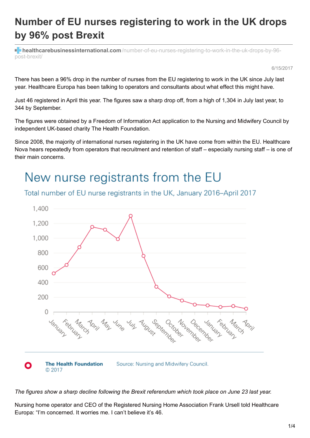### **Number of EU nurses registering to work in the UK drops by 96% post Brexit**

**healthcarebusinessinternational.com**[/number-of-eu-nurses-registering-to-work-in-the-uk-drops-by-96](https://www.healthcarebusinessinternational.com/number-of-eu-nurses-registering-to-work-in-the-uk-drops-by-96-post-brexit/) post-brexit/

6/15/2017

There has been a 96% drop in the number of nurses from the EU registering to work in the UK since July last year. Healthcare Europa has been talking to operators and consultants about what effect this might have.

Just 46 registered in April this year. The figures saw a sharp drop off, from a high of 1,304 in July last year, to 344 by September.

The figures were obtained by a Freedom of Information Act application to the Nursing and Midwifery Council by independent UK-based charity The Health Foundation.

Since 2008, the majority of international nurses registering in the UK have come from within the EU. Healthcare Nova hears repeatedly from operators that recruitment and retention of staff – especially nursing staff – is one of their main concerns.

## New nurse registrants from the EU

### Total number of EU nurse registrants in the UK, January 2016-April 2017



The figures show a sharp decline following the Brexit referendum which took place on June 23 last year.

Nursing home operator and CEO of the Registered Nursing Home Association Frank Ursell told Healthcare Europa: "I'm concerned. It worries me. I can't believe it's 46.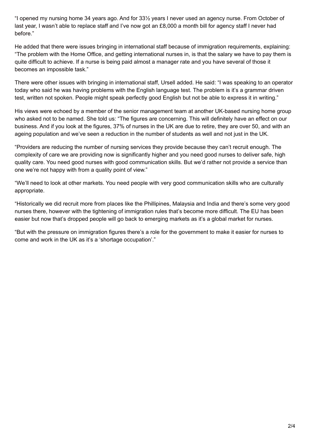"I opened my nursing home 34 years ago. And for 33½ years I never used an agency nurse. From October of last year, I wasn't able to replace staff and I've now got an £8,000 a month bill for agency staff I never had before."

He added that there were issues bringing in international staff because of immigration requirements, explaining: "The problem with the Home Office, and getting international nurses in, is that the salary we have to pay them is quite difficult to achieve. If a nurse is being paid almost a manager rate and you have several of those it becomes an impossible task."

There were other issues with bringing in international staff, Ursell added. He said: "I was speaking to an operator today who said he was having problems with the English language test. The problem is it's a grammar driven test, written not spoken. People might speak perfectly good English but not be able to express it in writing."

His views were echoed by a member of the senior management team at another UK-based nursing home group who asked not to be named. She told us: "The figures are concerning. This will definitely have an effect on our business. And if you look at the figures, 37% of nurses in the UK are due to retire, they are over 50, and with an ageing population and we've seen a reduction in the number of students as well and not just in the UK.

"Providers are reducing the number of nursing services they provide because they can't recruit enough. The complexity of care we are providing now is significantly higher and you need good nurses to deliver safe, high quality care. You need good nurses with good communication skills. But we'd rather not provide a service than one we're not happy with from a quality point of view."

"We'll need to look at other markets. You need people with very good communication skills who are culturally appropriate.

"Historically we did recruit more from places like the Phillipines, Malaysia and India and there's some very good nurses there, however with the tightening of immigration rules that's become more difficult. The EU has been easier but now that's dropped people will go back to emerging markets as it's a global market for nurses.

"But with the pressure on immigration figures there's a role for the government to make it easier for nurses to come and work in the UK as it's a 'shortage occupation'."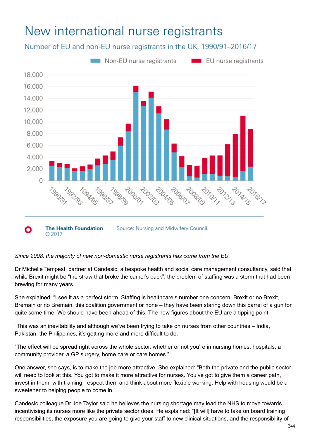# New international nurse registrants

Number of EU and non-EU nurse registrants in the UK, 1990/91-2016/17



#### *Since 2008, the majority of new non-domestic nurse registrants has come from the EU.*

Dr Michelle Tempest, partner at Candesic, a bespoke health and social care management consultancy, said that while Brexit might be "the straw that broke the camel's back", the problem of staffing was a storm that had been brewing for many years.

She explained: "I see it as a perfect storm. Staffing is healthcare's number one concern. Brexit or no Brexit, Bremain or no Bremain, this coalition government or none – they have been staring down this barrel of a gun for quite some time. We should have been ahead of this. The new figures about the EU are a tipping point.

"This was an inevitability and although we've been trying to take on nurses from other countries – India, Pakistan, the Philippines, it's getting more and more difficult to do.

"The effect will be spread right across the whole sector, whether or not you're in nursing homes, hospitals, a community provider, a GP surgery, home care or care homes."

One answer, she says, is to make the job more attractive. She explained: "Both the private and the public sector will need to look at this. You got to make it more attractive for nurses. You've got to give them a career path, invest in them, with training, respect them and think about more flexible working. Help with housing would be a sweetener to helping people to come in."

Candesic colleague Dr Joe Taylor said he believes the nursing shortage may lead the NHS to move towards incentivising its nurses more like the private sector does. He explained: "[It will] have to take on board training responsibilities, the exposure you are going to give your staff to new clinical situations, and the responsibility of